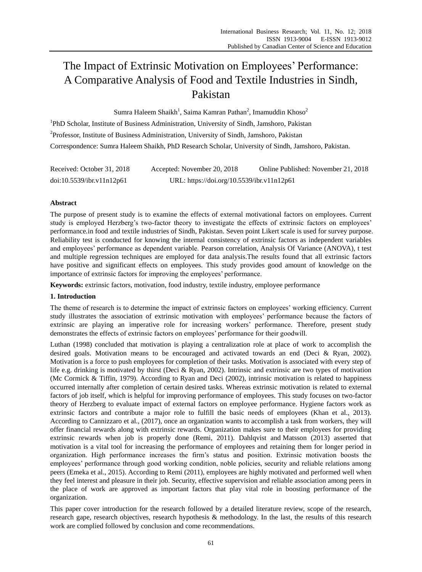# The Impact of Extrinsic Motivation on Employees' Performance: A Comparative Analysis of Food and Textile Industries in Sindh, Pakistan

Sumra Haleem Shaikh<sup>1</sup>, Saima Kamran Pathan<sup>2</sup>, Imamuddin Khoso<sup>2</sup>

<sup>1</sup>PhD Scholar, Institute of Business Administration, University of Sindh, Jamshoro, Pakistan <sup>2</sup>Professor, Institute of Business Administration, University of Sindh, Jamshoro, Pakistan Correspondence: Sumra Haleem Shaikh, PhD Research Scholar, University of Sindh, Jamshoro, Pakistan.

| Received: October 31, 2018 | Accepted: November 20, 2018                | Online Published: November 21, 2018 |
|----------------------------|--------------------------------------------|-------------------------------------|
| doi:10.5539/ibr.v11n12p61  | URL: https://doi.org/10.5539/ibr.v11n12p61 |                                     |

# **Abstract**

The purpose of present study is to examine the effects of external motivational factors on employees. Current study is employed Herzberg's two-factor theory to investigate the effects of extrinsic factors on employees' performance*.*in food and textile industries of Sindh, Pakistan. Seven point Likert scale is used for survey purpose. Reliability test is conducted for knowing the internal consistency of extrinsic factors as independent variables and employees' performance as dependent variable. Pearson correlation, Analysis Of Variance (ANOVA), t test and multiple regression techniques are employed for data analysis.The results found that all extrinsic factors have positive and significant effects on employees. This study provides good amount of knowledge on the importance of extrinsic factors for improving the employees' performance.

**Keywords:** extrinsic factors, motivation, food industry, textile industry, employee performance

# **1. Introduction**

The theme of research is to determine the impact of extrinsic factors on employees' working efficiency. Current study illustrates the association of extrinsic motivation with employees' performance because the factors of extrinsic are playing an imperative role for increasing workers' performance. Therefore, present study demonstrates the effects of extrinsic factors on employees' performance for their goodwill.

Luthan (1998) concluded that motivation is playing a centralization role at place of work to accomplish the desired goals. Motivation means to be encouraged and activated towards an end (Deci & Ryan, 2002). Motivation is a force to push employees for completion of their tasks. Motivation is associated with every step of life e.g. drinking is motivated by thirst (Deci & Ryan, 2002). Intrinsic and extrinsic are two types of motivation (Mc Cormick & Tiffin, 1979). According to Ryan and Deci (2002), intrinsic motivation is related to happiness occurred internally after completion of certain desired tasks. Whereas extrinsic motivation is related to external factors of job itself, which is helpful for improving performance of employees. This study focuses on two-factor theory of Herzberg to evaluate impact of external factors on employee performance. Hygiene factors work as extrinsic factors and contribute a major role to fulfill the basic needs of employees (Khan et al., 2013). According to [Cannizzaro](javascript:void(0);) et al., (2017), once an organization wants to accomplish a task from workers, they will offer financial rewards along with extrinsic rewards. Organization makes sure to their employees for providing extrinsic rewards when job is properly done (Remi, 2011). Dahlqvist and Matsson (2013) asserted that motivation is a vital tool for increasing the performance of employees and retaining them for longer period in organization. High performance increases the firm's status and position. Extrinsic motivation boosts the employees' performance through good working condition, noble policies, security and reliable relations among peers (Emeka et al., 2015). According to Remi (2011), employees are highly motivated and performed well when they feel interest and pleasure in their job. Security, effective supervision and reliable association among peers in the place of work are approved as important factors that play vital role in boosting performance of the organization.

This paper cover introduction for the research followed by a detailed literature review, scope of the research, research gape, research objectives, research hypothesis & methodology. In the last, the results of this research work are complied followed by conclusion and come recommendations.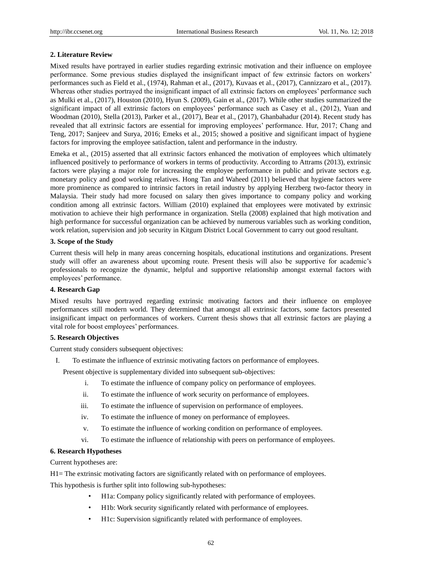# **2. Literature Review**

Mixed results have portrayed in earlier studies regarding extrinsic motivation and their influence on employee performance. Some previous studies displayed the insignificant impact of few extrinsic factors on workers' performances such as Field et al., (1974), Rahman et al., (2017), [Kuvaas](file:///C:/Users/Sumra%20Sohail/Desktop/FINAL/New%20folder/intrinsic%20+ve,%20extrinsic%20-ve.htm%23!) et al., (2017), [Cannizzaro](javascript:void(0);) et al., (2017). Whereas other studies portrayed the insignificant impact of all extrinsic factors on employees' performance such as [Mulki](file:///C:/Users/Sumra%20Sohail/Downloads/negative%20relationship%20with%20peers.htm%23!) et al., (2017), Houston (2010), Hyun S. (2009), Gain et al., (2017). While other studies summarized the significant impact of all extrinsic factors on employees' performance such as Casey et al., (2012), Yuan and Woodman (2010), Stella (2013), Parker et al., (2017), Bear et al., (2017), Ghanbahadur (2014). Recent study has revealed that all extrinsic factors are essential for improving employees' performance. Hur, 2017; Chang and Teng, 2017; Sanjeev and Surya, 2016; Emeks et al., 2015; showed a positive and significant impact of hygiene factors for improving the employee satisfaction, talent and performance in the industry.

Emeka et al., (2015) asserted that all extrinsic factors enhanced the motivation of employees which ultimately influenced positively to performance of workers in terms of productivity. According to Attrams (2013), extrinsic factors were playing a major role for increasing the employee performance in public and private sectors e.g. monetary policy and good working relatives. Hong Tan and Waheed (2011) believed that hygiene factors were more prominence as compared to intrinsic factors in retail industry by applying Herzberg two-factor theory in Malaysia. Their study had more focused on salary then gives importance to company policy and working condition among all extrinsic factors. William (2010) explained that employees were motivated by extrinsic motivation to achieve their high performance in organization. Stella (2008) explained that high motivation and high performance for successful organization can be achieved by numerous variables such as working condition, work relation, supervision and job security in Kitgum District Local Government to carry out good resultant.

# **3. Scope of the Study**

Current thesis will help in many areas concerning hospitals, educational institutions and organizations. Present study will offer an awareness about upcoming route. Present thesis will also be supportive for academic's professionals to recognize the dynamic, helpful and supportive relationship amongst external factors with employees' performance.

# **4. Research Gap**

Mixed results have portrayed regarding extrinsic motivating factors and their influence on employee performances still modern world. They determined that amongst all extrinsic factors, some factors presented insignificant impact on performances of workers. Current thesis shows that all extrinsic factors are playing a vital role for boost employees' performances.

# **5. Research Objectives**

Current study considers subsequent objectives:

I. To estimate the influence of extrinsic motivating factors on performance of employees.

Present objective is supplementary divided into subsequent sub-objectives:

- i. To estimate the influence of company policy on performance of employees.
- ii. To estimate the influence of work security on performance of employees.
- iii. To estimate the influence of supervision on performance of employees.
- iv. To estimate the influence of money on performance of employees.
- v. To estimate the influence of working condition on performance of employees.
- vi. To estimate the influence of relationship with peers on performance of employees.

### **6. Research Hypotheses**

Current hypotheses are:

H1= The extrinsic motivating factors are significantly related with on performance of employees.

This hypothesis is further split into following sub-hypotheses:

- H1a: Company policy significantly related with performance of employees.
- H1b: Work security significantly related with performance of employees.
- H1c: Supervision significantly related with performance of employees.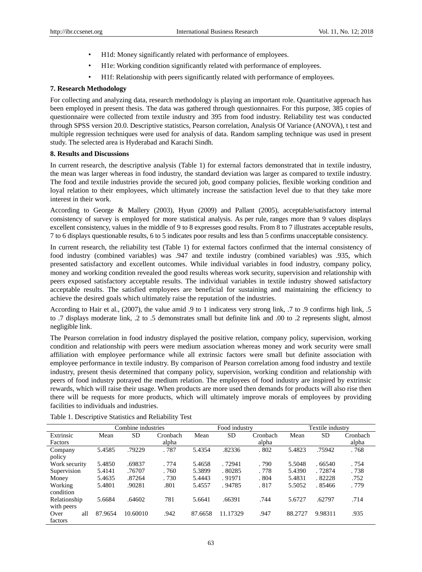- H1d: Money significantly related with performance of employees.
- H1e: Working condition significantly related with performance of employees.
- H1f: Relationship with peers significantly related with performance of employees.

# **7. Research Methodology**

For collecting and analyzing data, research methodology is playing an important role. Quantitative approach has been employed in present thesis. The data was gathered through questionnaires. For this purpose, 385 copies of questionnaire were collected from textile industry and 395 from food industry. Reliability test was conducted through SPSS version 20.0. Descriptive statistics, Pearson correlation, Analysis Of Variance (ANOVA), t test and multiple regression techniques were used for analysis of data. Random sampling technique was used in present study. The selected area is Hyderabad and Karachi Sindh.

# **8. Results and Discussions**

In current research, the descriptive analysis (Table 1) for external factors demonstrated that in textile industry, the mean was larger whereas in food industry, the standard deviation was larger as compared to textile industry. The food and textile industries provide the secured job, good company policies, flexible working condition and loyal relation to their employees, which ultimately increase the satisfaction level due to that they take more interest in their work.

According to George & Mallery (2003), Hyun (2009) and Pallant (2005), acceptable/satisfactory internal consistency of survey is employed for more statistical analysis. As per rule, ranges more than 9 values displays excellent consistency, values in the middle of 9 to 8 expresses good results. From 8 to 7 illustrates acceptable results, 7 to 6 displays questionable results, 6 to 5 indicates poor results and less than 5 confirms unacceptable consistency.

In current research, the reliability test (Table 1) for external factors confirmed that the internal consistency of food industry (combined variables) was .947 and textile industry (combined variables) was .935, which presented satisfactory and excellent outcomes. While individual variables in food industry, company policy, money and working condition revealed the good results whereas work security, supervision and relationship with peers exposed satisfactory acceptable results. The individual variables in textile industry showed satisfactory acceptable results. The satisfied employees are beneficial for sustaining and maintaining the efficiency to achieve the desired goals which ultimately raise the reputation of the industries.

According to Hair et al., (2007), the value amid .9 to 1 indicatess very strong link, .7 to .9 confirms high link, .5 to .7 displays moderate link, .2 to .5 demonstrates small but definite link and .00 to .2 represents slight, almost negligible link.

The Pearson correlation in food industry displayed the positive relation, company policy, supervision, working condition and relationship with peers were medium association whereas money and work security were small affiliation with employee performance while all extrinsic factors were small but definite association with employee performance in textile industry. By comparison of Pearson correlation among food industry and textile industry, present thesis determined that company policy, supervision, working condition and relationship with peers of food industry potrayed the medium relation. The employees of food industry are inspired by extrinsic rewards, which will raise their usage. When products are more used then demands for products will also rise then there will be requests for more products, which will ultimately improve morals of employees by providing facilities to individuals and industries.

|               |         | Combine industries |          |         | Food industry |          |         | Textile industry |          |
|---------------|---------|--------------------|----------|---------|---------------|----------|---------|------------------|----------|
| Extrinsic     | Mean    | <b>SD</b>          | Cronbach | Mean    | <b>SD</b>     | Cronbach | Mean    | <b>SD</b>        | Cronbach |
| Factors       |         |                    | alpha    |         |               | alpha    |         |                  | alpha    |
| Company       | 5.4585  | .79229             | .787     | 5.4354  | .82336        | .802     | 5.4823  | .75942           | .768     |
| policy        |         |                    |          |         |               |          |         |                  |          |
| Work security | 5.4850  | .69837             | . 774    | 5.4658  | . 72941       | .790     | 5.5048  | .66540           | . 754    |
| Supervision   | 5.4141  | .76707             | . 760    | 5.3899  | .80285        | . 778    | 5.4390  | . 72874          | . 738    |
| Money         | 5.4635  | .87264             | . 730    | 5.4443  | .91971        | .804     | 5.4831  | .82228           | .752     |
| Working       | 5.4801  | .90281             | .801     | 5.4557  | .94785        | .817     | 5.5052  | . 85466          | . 779    |
| condition     |         |                    |          |         |               |          |         |                  |          |
| Relationship  | 5.6684  | .64602             | 781      | 5.6641  | .66391        | .744     | 5.6727  | .62797           | .714     |
| with peers    |         |                    |          |         |               |          |         |                  |          |
| all<br>Over   | 87.9654 | 10.60010           | .942     | 87.6658 | 11.17329      | .947     | 88.2727 | 9.98311          | .935     |
| factors       |         |                    |          |         |               |          |         |                  |          |

Table 1. Descriptive Statistics and Reliability Test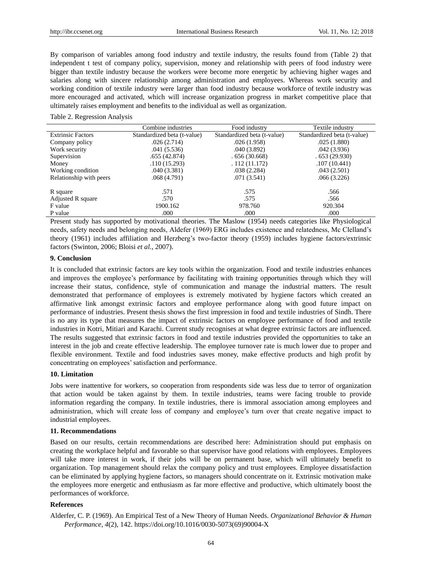By comparison of variables among food industry and textile industry, the results found from (Table 2) that independent t test of company policy, supervision, money and relationship with peers of food industry were bigger than textile industry because the workers were become more energetic by achieving higher wages and salaries along with sincere relationship among administration and employees. Whereas work security and working condition of textile industry were larger than food industry because workforce of textile industry was more encouraged and activated, which will increase organization progress in market competitive place that ultimately raises employment and benefits to the individual as well as organization.

#### Table 2. Regression Analysis

|                          | Combine industries          | Food industry               | Textile industry            |
|--------------------------|-----------------------------|-----------------------------|-----------------------------|
| <b>Extrinsic Factors</b> | Standardized beta (t-value) | Standardized beta (t-value) | Standardized beta (t-value) |
| Company policy           | .026(2.714)                 | .026(1.958)                 | .025(1.880)                 |
| Work security            | .041(5.536)                 | .040(3.892)                 | .042(3.936)                 |
| Supervision              | .655(42.874)                | .656(30.668)                | .653(29.930)                |
| Money                    | .110(15.293)                | .112(11.172)                | .107(10.441)                |
| Working condition        | .040(3.381)                 | .038(2.284)                 | .043(2.501)                 |
| Relationship with peers  | .068 (4.791)                | .071(3.541)                 | .066(3.226)                 |
| R square                 | .571                        | .575                        | .566                        |
| Adjusted R square        | .570                        | .575                        | .566                        |
| F value                  | 1900.162                    | 978.760                     | 920.304                     |
| P value                  | .000                        | .000                        | .000                        |

Present study has supported by motivational theories. The Maslow (1954) needs categories like Physiological needs, safety needs and belonging needs, Aldefer (1969) ERG includes existence and relatedness, Mc Clelland's theory (1961) includes affiliation and Herzberg's two-factor theory (1959) includes hygiene factors/extrinsic factors (Swinton, 2006; Bloisi *et al.,* 2007).

### **9. Conclusion**

It is concluded that extrinsic factors are key tools within the organization. Food and textile industries enhances and improves the employee's performance by facilitating with training opportunities through which they will increase their status, confidence, style of communication and manage the industrial matters. The result demonstrated that performance of employees is extremely motivated by hygiene factors which created an affirmative link amongst extrinsic factors and employee performance along with good future impact on performance of industries. Present thesis shows the first impression in food and textile industries of Sindh. There is no any its type that measures the impact of extrinsic factors on employee performance of food and textile industries in Kotri, Mitiari and Karachi. Current study recognises at what degree extrinsic factors are influenced. The results suggested that extrinsic factors in food and textile industries provided the opportunities to take an interest in the job and create effective leadership. The employee turnover rate is much lower due to proper and flexible environment. Textile and food industries saves money, make effective products and high profit by concentrating on employees' satisfaction and performance.

### **10. Limitation**

Jobs were inattentive for workers, so cooperation from respondents side was less due to terror of organization that action would be taken against by them. In textile industries, teams were facing trouble to provide information regarding the company. In textile industries, there is immoral association among employees and administration, which will create loss of company and employee's turn over that create negative impact to industrial employees.

## **11. Recommendations**

Based on our results, certain recommendations are described here: Administration should put emphasis on creating the workplace helpful and favorable so that supervisor have good relations with employees. Employees will take more interest in work, if their jobs will be on permanent base, which will ultimately benefit to organization. Top management should relax the company policy and trust employees. Employee dissatisfaction can be eliminated by applying hygiene factors, so managers should concentrate on it. Extrinsic motivation make the employees more energetic and enthusiasm as far more effective and productive, which ultimately boost the performances of workforce.

## **References**

Alderfer, C. P. (1969). An Empirical Test of a New Theory of Human Needs. *Organizational Behavior & Human Performance*, *4*(2), 142. https://doi.org/10.1016/0030-5073(69)90004-X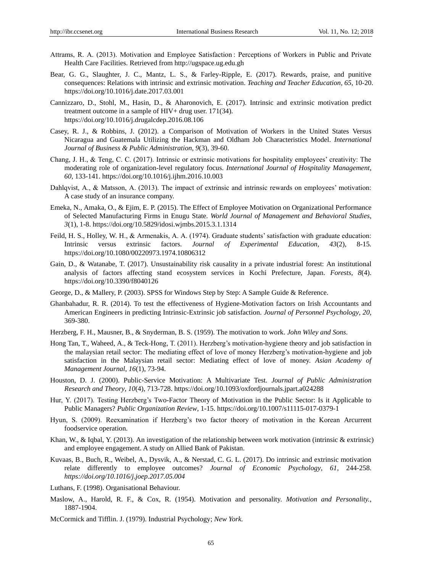- Attrams, R. A. (2013). Motivation and Employee Satisfaction : Perceptions of Workers in Public and Private Health Care Facilities. Retrieved from http://ugspace.ug.edu.gh
- Bear, G. G., Slaughter, J. C., Mantz, L. S., & Farley-Ripple, E. (2017). Rewards, praise, and punitive consequences: Relations with intrinsic and extrinsic motivation. *Teaching and Teacher Education*, *65*, 10-20. https://doi.org/10.1016/j.date.2017.03.001
- [Cannizzaro,](javascript:void(0);) D., [Stohl,](javascript:void(0);) M., [Hasin,](javascript:void(0);) D., & [Aharonovich,](javascript:void(0);) E. (2017). Intrinsic and extrinsic motivation predict treatment outcome in a sample of HIV+ drug user. 171(34). https://doi.org/10.1016/j.drugalcdep.2016.08.106
- Casey, R. J., & Robbins, J. (2012). a Comparison of Motivation of Workers in the United States Versus Nicaragua and Guatemala Utilizing the Hackman and Oldham Job Characteristics Model. *International Journal of Business & Public Administration*, *9*(3), 39-60.
- Chang, J. H., & Teng, C. C. (2017). Intrinsic or extrinsic motivations for hospitality employees' creativity: The moderating role of organization-level regulatory focus. *International Journal of Hospitality Management*, *60*, 133-141. https://doi.org/10.1016/j.ijhm.2016.10.003
- Dahlqvist, A., & Matsson, A. (2013). The impact of extrinsic and intrinsic rewards on employees' motivation: A case study of an insurance company.
- Emeka, N., Amaka, O., & Ejim, E. P. (2015). The Effect of Employee Motivation on Organizational Performance of Selected Manufacturing Firms in Enugu State. *World Journal of Management and Behavioral Studies*, *3*(1), 1-8. https://doi.org/10.5829/idosi.wjmbs.2015.3.1.1314
- Feild, H. S., Holley, W. H., & Armenakis, A. A. (1974). Graduate students' satisfaction with graduate education: Intrinsic versus extrinsic factors. *Journal of Experimental Education*, *43*(2), 8-15*.*  https://doi.org/10.1080/00220973.1974.10806312
- Gain, D., & Watanabe, T. (2017). Unsustainability risk causality in a private industrial forest: An institutional analysis of factors affecting stand ecosystem services in Kochi Prefecture, Japan. *Forests*, *8*(4). https://doi.org/10.3390/f8040126
- George, D., & Mallery, P. (2003). SPSS for Windows Step by Step: A Sample Guide & Reference.
- Ghanbahadur, R. R. (2014). To test the effectiveness of Hygiene-Motivation factors on Irish Accountants and American Engineers in predicting Intrinsic-Extrinsic job satisfaction. *Journal of Personnel Psychology*, *20*, 369-380.
- Herzberg, F. H., Mausner, B., & Snyderman, B. S. (1959). The motivation to work. *John Wiley and Sons*.
- Hong Tan, T., Waheed, A., & Teck-Hong, T. (2011). Herzberg's motivation-hygiene theory and job satisfaction in the malaysian retail sector: The mediating effect of love of money Herzberg's motivation-hygiene and job satisfaction in the Malaysian retail sector: Mediating effect of love of money. *Asian Academy of Management Journal*, *16*(1), 73-94.
- Houston, D. J. (2000). Public-Service Motivation: A Multivariate Test. *Journal of Public Administration Research and Theory*, *10*(4), 713-728. <https://doi.org/10.1093/oxfordjournals.jpart.a024288>
- Hur, Y. (2017). Testing Herzberg's Two-Factor Theory of Motivation in the Public Sector: Is it Applicable to Public Managers? *Public Organization Review*, 1-15. https://doi.org/10.1007/s11115-017-0379-1
- Hyun, S. (2009). Reexamination if Herzberg's two factor theory of motivation in the Korean Arcurrent foodservice operation.
- Khan, W., & Iqbal, Y. (2013). An investigation of the relationship between work motivation (intrinsic  $\&$  extrinsic) and employee engagement. A study on Allied Bank of Pakistan.
- Kuvaas, B., Buch, R., Weibel, A., Dysvik, A., & Nerstad, C. G. L. (2017). Do intrinsic and extrinsic motivation relate differently to employee outcomes? *Journal of Economic Psychology*, *61*, 244-258. *https://doi.org/10.1016/j.joep.2017.05.004*
- Luthans, F. (1998). Organisational Behaviour.
- Maslow, A., Harold, R. F., & Cox, R. (1954). Motivation and personality. *Motivation and Personality.*, 1887-1904.
- McCormick and Tifflin. J. (1979). Industrial Psychology; *New York.*